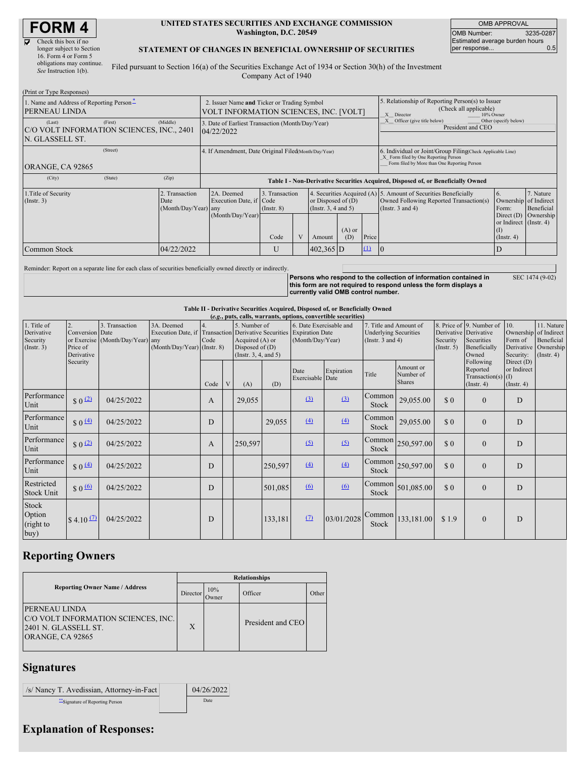# **FORM 4**

 $\mathbb{R}^n$ 

| Check this box if no      |
|---------------------------|
| longer subject to Section |
| 16. Form 4 or Form 5      |
| obligations may continue. |
| See Instruction 1(b).     |

#### **UNITED STATES SECURITIES AND EXCHANGE COMMISSION Washington, D.C. 20549**

OMB APPROVAL OMB Number: 3235-0287 Estimated average burden hours<br>per response... 0.5 per response...

SEC 1474 (9-02)

#### **STATEMENT OF CHANGES IN BENEFICIAL OWNERSHIP OF SECURITIES**

Filed pursuant to Section 16(a) of the Securities Exchange Act of 1934 or Section 30(h) of the Investment Company Act of 1940

| (FILIII OI TYPE RESPOIISES)<br>1. Name and Address of Reporting Person <sup>*</sup><br>PERNEAU LINDA |            | 2. Issuer Name and Ticker or Trading Symbol<br>VOLT INFORMATION SCIENCES, INC. [VOLT] |                                   |  |                                              |                 |                                                                            | 5. Relationship of Reporting Person(s) to Issuer<br>(Check all applicable)<br>10% Owner<br>X Director                                              |                                                                                |                                                     |  |
|------------------------------------------------------------------------------------------------------|------------|---------------------------------------------------------------------------------------|-----------------------------------|--|----------------------------------------------|-----------------|----------------------------------------------------------------------------|----------------------------------------------------------------------------------------------------------------------------------------------------|--------------------------------------------------------------------------------|-----------------------------------------------------|--|
| (First)<br>(Last)<br>C/O VOLT INFORMATION SCIENCES, INC., 2401<br>N. GLASSELL ST.                    | (Middle)   | 3. Date of Earliest Transaction (Month/Day/Year)<br>04/22/2022                        |                                   |  |                                              |                 | X Officer (give title below)<br>Other (specify below)<br>President and CEO |                                                                                                                                                    |                                                                                |                                                     |  |
| (Street)<br>ORANGE, CA 92865                                                                         |            | 4. If Amendment, Date Original Filed (Month/Day/Year)                                 |                                   |  |                                              |                 |                                                                            | 6. Individual or Joint/Group Filing Check Applicable Line)<br>X Form filed by One Reporting Person<br>Form filed by More than One Reporting Person |                                                                                |                                                     |  |
| (City)<br>(State)                                                                                    | (Zip)      | Table I - Non-Derivative Securities Acquired, Disposed of, or Beneficially Owned      |                                   |  |                                              |                 |                                                                            |                                                                                                                                                    |                                                                                |                                                     |  |
| 1. Title of Security<br>2. Transaction<br>$($ Instr. 3 $)$<br>Date<br>(Month/Day/Year) any           |            | 2A. Deemed<br>Execution Date, if Code<br>(Month/Day/Year)                             | 3. Transaction<br>$($ Instr. $8)$ |  | or Disposed of $(D)$<br>(Insert. 3, 4 and 5) |                 |                                                                            | 4. Securities Acquired (A) 5. Amount of Securities Beneficially<br>Owned Following Reported Transaction(s)<br>(Instr. $3$ and $4$ )                | $\mathbf{b}$ .<br>Ownership<br>Form:<br>Direct $(D)$<br>or Indirect (Instr. 4) | 7. Nature<br>of Indirect<br>Beneficial<br>Ownership |  |
|                                                                                                      |            |                                                                                       | Code                              |  | Amount                                       | $(A)$ or<br>(D) | Price                                                                      |                                                                                                                                                    | (I)<br>$($ Instr. 4 $)$                                                        |                                                     |  |
| Common Stock                                                                                         | 04/22/2022 |                                                                                       | U                                 |  | $402,365$ D                                  |                 | $\mathbf{u}$                                                               |                                                                                                                                                    | D                                                                              |                                                     |  |

Reminder: Report on a separate line for each class of securities beneficially owned directly or indirectly.

**Persons who respond to the collection of information contained in this form are not required to respond unless the form displays a currently valid OMB control number.**

### **Table II - Derivative Securities Acquired, Disposed of, or Beneficially Owned**

| (e.g., puts, calls, warrants, options, convertible securities) |                                                 |                                                    |                                                                                                                   |      |   |                                                                                      |         |                          |                                                                                                                                |                 |                                         |                                                                                          |                                                                                      |                                               |  |
|----------------------------------------------------------------|-------------------------------------------------|----------------------------------------------------|-------------------------------------------------------------------------------------------------------------------|------|---|--------------------------------------------------------------------------------------|---------|--------------------------|--------------------------------------------------------------------------------------------------------------------------------|-----------------|-----------------------------------------|------------------------------------------------------------------------------------------|--------------------------------------------------------------------------------------|-----------------------------------------------|--|
| 1. Title of<br>Derivative<br>Security<br>$($ Instr. 3 $)$      | 2.<br>Conversion Date<br>Price of<br>Derivative | 3. Transaction<br>or Exercise (Month/Day/Year) any | 3A. Deemed<br>Execution Date, if Transaction Derivative Securities Expiration Date<br>(Month/Day/Year) (Instr. 8) | Code |   | 5. Number of<br>Acquired $(A)$ or<br>Disposed of $(D)$<br>(Instr. $3, 4$ , and $5$ ) |         |                          | 7. Title and Amount of<br>6. Date Exercisable and<br><b>Underlying Securities</b><br>(Month/Day/Year)<br>(Instr. $3$ and $4$ ) |                 | Security<br>$($ Instr. 5 $)$            | 8. Price of 9. Number of<br>Derivative Derivative<br>Securities<br>Beneficially<br>Owned | $\vert$ 10.<br>Ownership of Indirect<br>Form of<br>Derivative Ownership<br>Security: | 11. Nature<br>Beneficial<br>(Insert. 4)       |  |
|                                                                | Security                                        |                                                    |                                                                                                                   | Code | V | (A)                                                                                  | (D)     | Date<br>Exercisable Date | Expiration                                                                                                                     | Title           | Amount or<br>Number of<br><b>Shares</b> |                                                                                          | Following<br>Reported<br>Transaction(s) $(I)$<br>$($ Instr. 4 $)$                    | Direct (D)<br>or Indirect<br>$($ Instr. 4 $)$ |  |
| Performance<br>Unit                                            | \$0 <sup>(2)</sup>                              | 04/25/2022                                         |                                                                                                                   | A    |   | 29,055                                                                               |         | (3)                      | (3)                                                                                                                            | Common<br>Stock | 29,055.00                               | \$0                                                                                      | $\overline{0}$                                                                       | D                                             |  |
| Performance<br>Unit                                            | \$0 <sup>(4)</sup>                              | 04/25/2022                                         |                                                                                                                   | D    |   |                                                                                      | 29,055  | (4)                      | (4)                                                                                                                            | Common<br>Stock | 29,055.00                               | \$0                                                                                      | $\mathbf{0}$                                                                         | D                                             |  |
| Performance<br>Unit                                            | \$0 <sup>(2)</sup>                              | 04/25/2022                                         |                                                                                                                   | A    |   | 250,597                                                                              |         | (5)                      | (5)                                                                                                                            | Common<br>Stock | 250,597.00                              | \$0                                                                                      | $\mathbf{0}$                                                                         | D                                             |  |
| Performance<br>Unit                                            | $$0 \underline{4}$                              | 04/25/2022                                         |                                                                                                                   | D    |   |                                                                                      | 250,597 | (4)                      | (4)                                                                                                                            | Common<br>Stock | 250,597.00                              | \$0                                                                                      | $\mathbf{0}$                                                                         | D                                             |  |
| Restricted<br><b>Stock Unit</b>                                | $$0 \underline{6}$                              | 04/25/2022                                         |                                                                                                                   | D    |   |                                                                                      | 501,085 | (6)                      | 60                                                                                                                             | Common<br>Stock | 501,085.00                              | \$0                                                                                      | $\mathbf{0}$                                                                         | D                                             |  |
| Stock<br>Option<br>(right to<br>buy)                           | $$4.10 \Omega$                                  | 04/25/2022                                         |                                                                                                                   | D    |   |                                                                                      | 133,181 | (7)                      | 03/01/2028                                                                                                                     | Common<br>Stock | 133,181.00                              | \$1.9                                                                                    | $\mathbf{0}$                                                                         | D                                             |  |

### **Reporting Owners**

|                                                                                                         | <b>Relationships</b> |              |                   |       |  |  |  |
|---------------------------------------------------------------------------------------------------------|----------------------|--------------|-------------------|-------|--|--|--|
| <b>Reporting Owner Name / Address</b>                                                                   | Director             | 10%<br>Owner | Officer           | Other |  |  |  |
| <b>PERNEAU LINDA</b><br>C/O VOLT INFORMATION SCIENCES, INC.<br>2401 N. GLASSELL ST.<br>ORANGE, CA 92865 | X                    |              | President and CEO |       |  |  |  |

### **Signatures**

| /s/ Nancy T. Avedissian, Attorney-in-Fact | 04/26/2022 |
|-------------------------------------------|------------|
| Signature of Reporting Person             | Date       |

## **Explanation of Responses:**